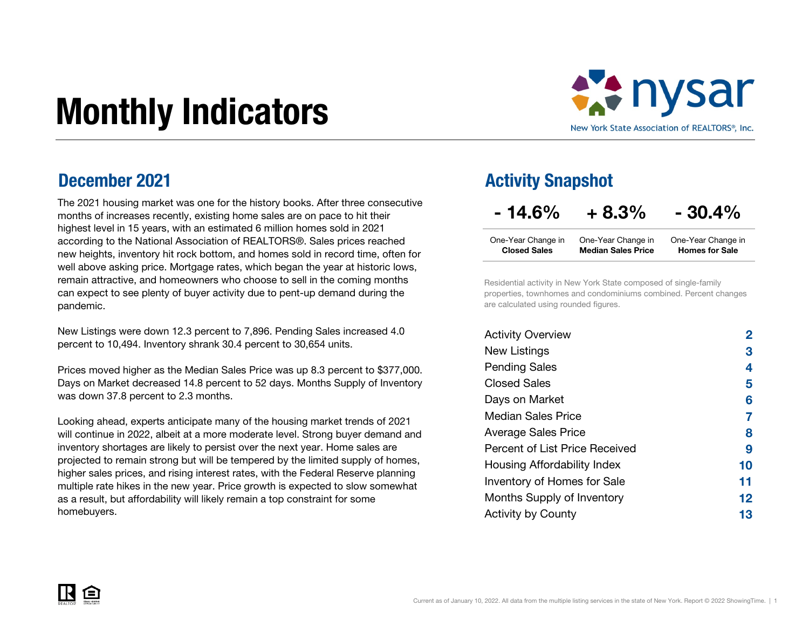# Monthly Indicators



#### December 2021

The 2021 housing market was one for the history books. After three consecutive months of increases recently, existing home sales are on pace to hit their highest level in 15 years, with an estimated 6 million homes sold in 2021 according to the National Association of REALTORS®. Sales prices reached new heights, inventory hit rock bottom, and homes sold in record time, often for well above asking price. Mortgage rates, which began the year at historic lows, remain attractive, and homeowners who choose to sell in the coming months can expect to see plenty of buyer activity due to pent-up demand during the pandemic.

New Listings were down 12.3 percent to 7,896. Pending Sales increased 4.0 percent to 10,494. Inventory shrank 30.4 percent to 30,654 units.

Prices moved higher as the Median Sales Price was up 8.3 percent to \$377,000. Days on Market decreased 14.8 percent to 52 days. Months Supply of Inventory was down 37.8 percent to 2.3 months.

Looking ahead, experts anticipate many of the housing market trends of 2021 will continue in 2022, albeit at a more moderate level. Strong buyer demand and inventory shortages are likely to persist over the next year. Home sales are projected to remain strong but will be tempered by the limited supply of homes, higher sales prices, and rising interest rates, with the Federal Reserve planning multiple rate hikes in the new year. Price growth is expected to slow somewhat as a result, but affordability will likely remain a top constraint for some homebuyers.

#### Activity Snapshot

 $-14.6\% + 8.3\% - 30.4\%$ 

| One-Year Change in  | One-Year Change in        | One-Year Change in    |
|---------------------|---------------------------|-----------------------|
| <b>Closed Sales</b> | <b>Median Sales Price</b> | <b>Homes for Sale</b> |

Residential activity in New York State composed of single-family properties, townhomes and condominiums combined. Percent changes are calculated using rounded figures.

| <b>Activity Overview</b>       |    |
|--------------------------------|----|
| New Listings                   | 3  |
| <b>Pending Sales</b>           | 4  |
| Closed Sales                   | 5  |
| Days on Market                 | 6  |
| <b>Median Sales Price</b>      | 7  |
| <b>Average Sales Price</b>     | 8  |
| Percent of List Price Received | 9  |
| Housing Affordability Index    | 10 |
| Inventory of Homes for Sale    | 11 |
| Months Supply of Inventory     | 12 |
| <b>Activity by County</b>      | 13 |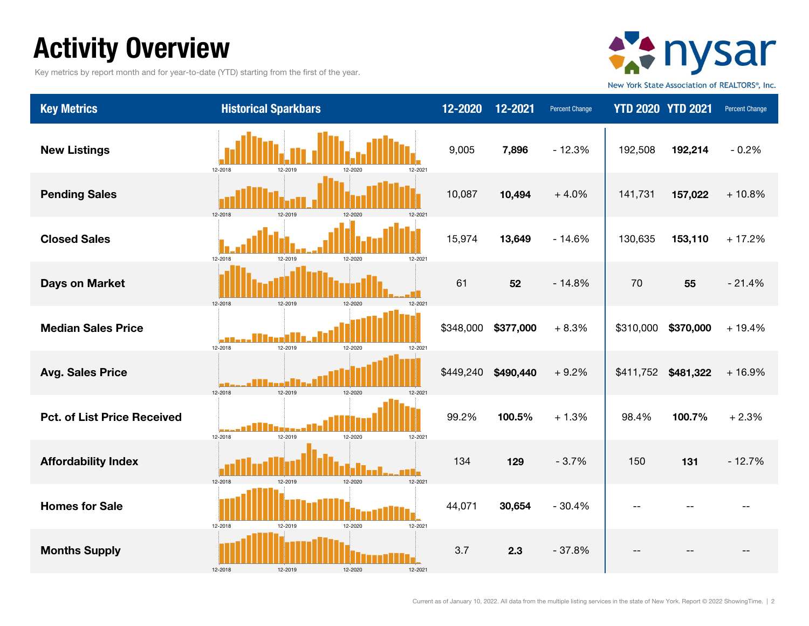### Activity Overview

Key metrics by report month and for year-to-date (YTD) starting from the first of the year.



New York State Association of REALTORS®, Inc.

| <b>Key Metrics</b>                 | <b>Historical Sparkbars</b>                                | 12-2020   | 12-2021   | Percent Change | <b>YTD 2020 YTD 2021</b> |           | Percent Change |
|------------------------------------|------------------------------------------------------------|-----------|-----------|----------------|--------------------------|-----------|----------------|
| <b>New Listings</b>                | 12-2018<br>12-2019<br>12-2021                              | 9,005     | 7,896     | $-12.3%$       | 192,508                  | 192,214   | $-0.2%$        |
| <b>Pending Sales</b>               | 12-2018<br>12-2019<br>12-2020<br>12-202                    | 10,087    | 10,494    | $+4.0%$        | 141,731                  | 157,022   | $+10.8%$       |
| <b>Closed Sales</b>                | 12-2018<br>12-2019<br>12-2021<br>12-2020                   | 15,974    | 13,649    | $-14.6%$       | 130,635                  | 153,110   | $+17.2%$       |
| <b>Days on Market</b>              | 12-2021<br>12-2018<br>12-2019<br>12-2020                   | 61        | 52        | $-14.8%$       | 70                       | 55        | $-21.4%$       |
| <b>Median Sales Price</b>          | 12-2019<br>12-2018<br>12-2020<br>12-2021                   | \$348,000 | \$377,000 | $+8.3%$        | \$310,000                | \$370,000 | $+19.4%$       |
| <b>Avg. Sales Price</b>            | - 90 S y s a V<br>12-2019<br>12-2018<br>12-2020<br>12-2021 | \$449,240 | \$490,440 | $+9.2%$        | \$411,752                | \$481,322 | $+16.9%$       |
| <b>Pct. of List Price Received</b> | 12-2019<br>12-2018<br>12-2021<br>12-2020                   | 99.2%     | 100.5%    | $+1.3%$        | 98.4%                    | 100.7%    | $+2.3%$        |
| <b>Affordability Index</b>         | 12-2018<br>12-2019<br>12-2020<br>12-2021                   | 134       | 129       | $-3.7%$        | 150                      | 131       | $-12.7%$       |
| <b>Homes for Sale</b>              | 12-2018<br>12-2020<br>12-2021<br>12-2019                   | 44,071    | 30,654    | $-30.4%$       |                          |           |                |
| <b>Months Supply</b>               | 12-2018<br>12-2021                                         | 3.7       | 2.3       | $-37.8%$       |                          |           |                |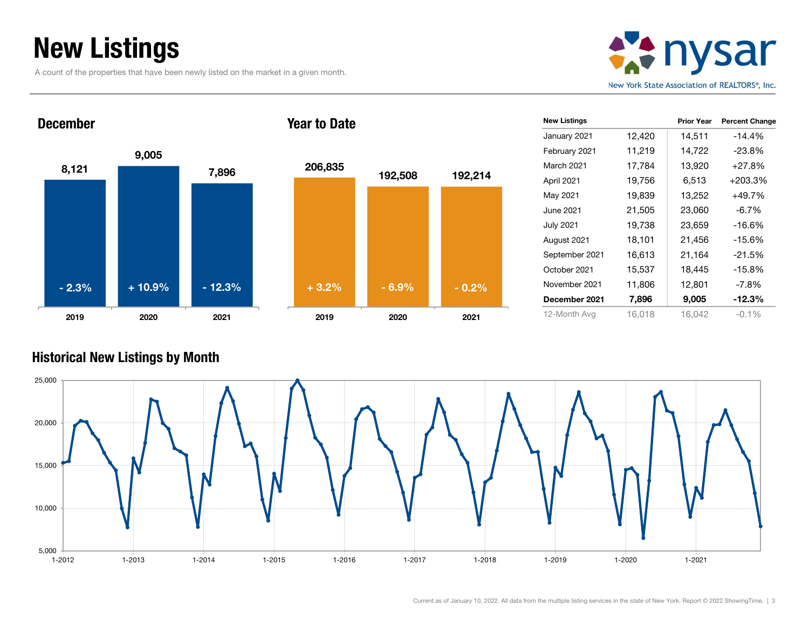### New Listings

December

A count of the properties that have been newly listed on the market in a given month.



8,121 9,005 7,896 2019 2020 2021 - 2.3%



Year to Date

| <b>New Listings</b> |        | <b>Prior Year</b> | <b>Percent Change</b> |
|---------------------|--------|-------------------|-----------------------|
| January 2021        | 12,420 | 14,511            | $-14.4%$              |
| February 2021       | 11,219 | 14,722            | -23.8%                |
| <b>March 2021</b>   | 17,784 | 13,920            | +27.8%                |
| April 2021          | 19,756 | 6,513             | +203.3%               |
| May 2021            | 19,839 | 13,252            | +49.7%                |
| June 2021           | 21,505 | 23,060            | $-6.7\%$              |
| <b>July 2021</b>    | 19,738 | 23,659            | -16.6%                |
| August 2021         | 18,101 | 21,456            | -15.6%                |
| September 2021      | 16,613 | 21,164            | $-21.5%$              |
| October 2021        | 15,537 | 18,445            | $-15.8%$              |
| November 2021       | 11,806 | 12,801            | $-7.8%$               |
| December 2021       | 7,896  | 9,005             | -12.3%                |
| 12-Month Avg        | 16,018 | 16,042            | $-0.1\%$              |

#### Historical New Listings by Month

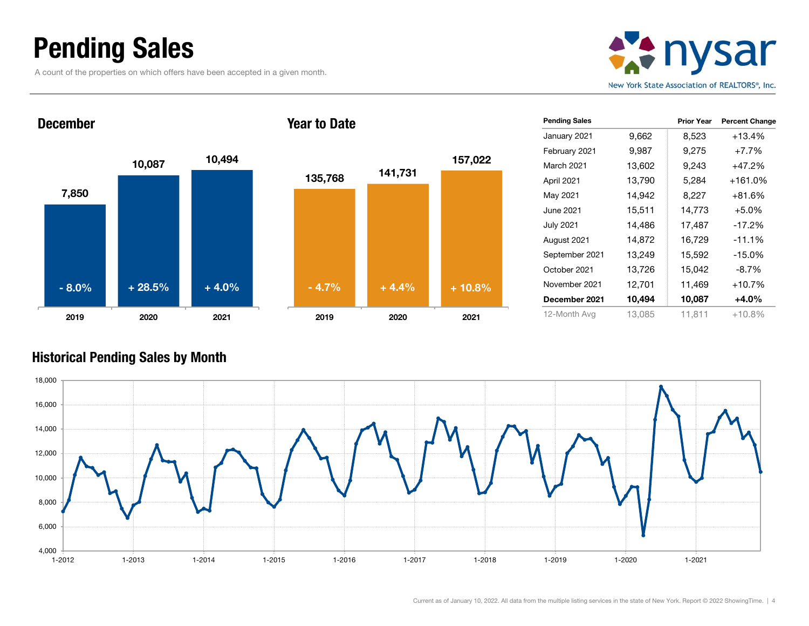### Pending Sales

December

A count of the properties on which offers have been accepted in a given month.



7,850 10,087 10,494 2019 2020 2021 - 8.0%



Year to Date

| <b>Pending Sales</b> |        | <b>Prior Year</b> | <b>Percent Change</b> |
|----------------------|--------|-------------------|-----------------------|
| January 2021         | 9,662  | 8,523             | $+13.4%$              |
| February 2021        | 9,987  | 9,275             | $+7.7%$               |
| March 2021           | 13,602 | 9,243             | $+47.2%$              |
| April 2021           | 13,790 | 5,284             | $+161.0%$             |
| May 2021             | 14,942 | 8,227             | $+81.6%$              |
| June 2021            | 15,511 | 14,773            | $+5.0%$               |
| <b>July 2021</b>     | 14,486 | 17,487            | $-17.2%$              |
| August 2021          | 14,872 | 16,729            | $-11.1%$              |
| September 2021       | 13,249 | 15,592            | $-15.0%$              |
| October 2021         | 13,726 | 15,042            | -8.7%                 |
| November 2021        | 12,701 | 11,469            | $+10.7%$              |
| December 2021        | 10,494 | 10,087            | +4.0%                 |
| 12-Month Avg         | 13,085 | 11,811            | $+10.8%$              |

#### Historical Pending Sales by Month

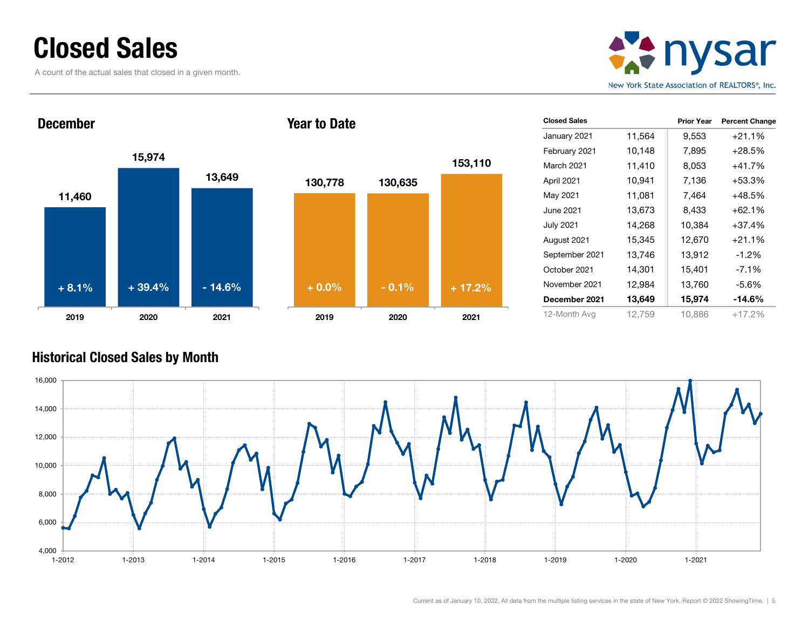#### Closed Sales

A count of the actual sales that closed in a given month.



11,460 15,974 13,649 2019 2020 2021 DecemberYear to Date+ 8.1%



| <b>Closed Sales</b> |        | <b>Prior Year</b> | <b>Percent Change</b> |
|---------------------|--------|-------------------|-----------------------|
| January 2021        | 11,564 | 9,553             | $+21.1%$              |
| February 2021       | 10,148 | 7,895             | $+28.5%$              |
| <b>March 2021</b>   | 11,410 | 8,053             | $+41.7%$              |
| April 2021          | 10,941 | 7,136             | $+53.3%$              |
| May 2021            | 11,081 | 7,464             | $+48.5%$              |
| June 2021           | 13,673 | 8,433             | $+62.1%$              |
| <b>July 2021</b>    | 14,268 | 10,384            | $+37.4%$              |
| August 2021         | 15,345 | 12,670            | $+21.1%$              |
| September 2021      | 13,746 | 13,912            | $-1.2\%$              |
| October 2021        | 14,301 | 15,401            | $-7.1%$               |
| November 2021       | 12,984 | 13,760            | $-5.6%$               |
| December 2021       | 13,649 | 15,974            | $-14.6%$              |
| 12-Month Avg        | 12,759 | 10,886            | $+17.2%$              |

#### Historical Closed Sales by Month

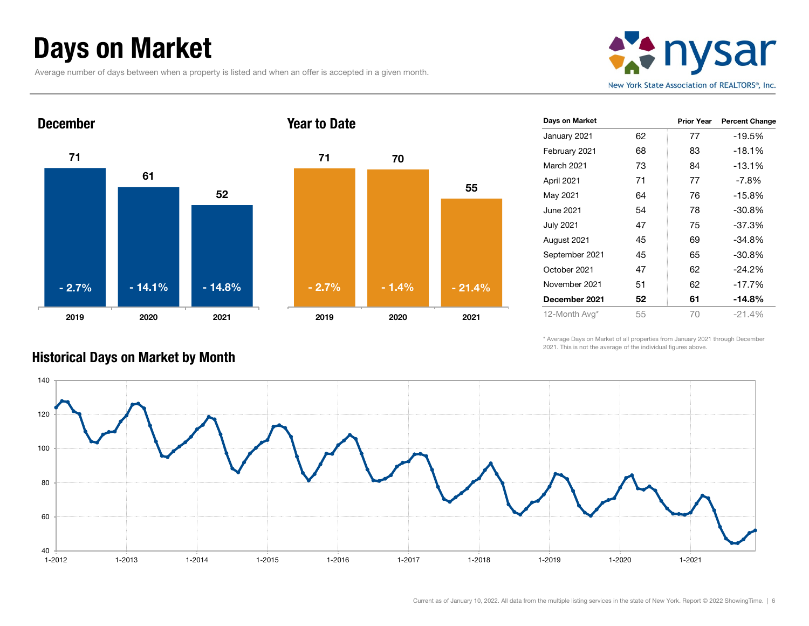### Days on Market

Average number of days between when a property is listed and when an offer is accepted in a given month.







| Days on Market   |    | <b>Prior Year</b> | <b>Percent Change</b> |
|------------------|----|-------------------|-----------------------|
| January 2021     | 62 | 77                | -19.5%                |
| February 2021    | 68 | 83                | $-18.1\%$             |
| March 2021       | 73 | 84                | $-13.1%$              |
| April 2021       | 71 | 77                | $-7.8\%$              |
| May 2021         | 64 | 76                | $-15.8%$              |
| June 2021        | 54 | 78                | $-30.8%$              |
| <b>July 2021</b> | 47 | 75                | $-37.3%$              |
| August 2021      | 45 | 69                | $-34.8%$              |
| September 2021   | 45 | 65                | $-30.8%$              |
| October 2021     | 47 | 62                | $-24.2%$              |
| November 2021    | 51 | 62                | $-17.7\%$             |
| December 2021    | 52 | 61                | -14.8%                |
| 12-Month Avg*    | 55 | 70                | $-21.4%$              |

\* Average Days on Market of all properties from January 2021 through December 2021. This is not the average of the individual figures above.



#### Historical Days on Market by Month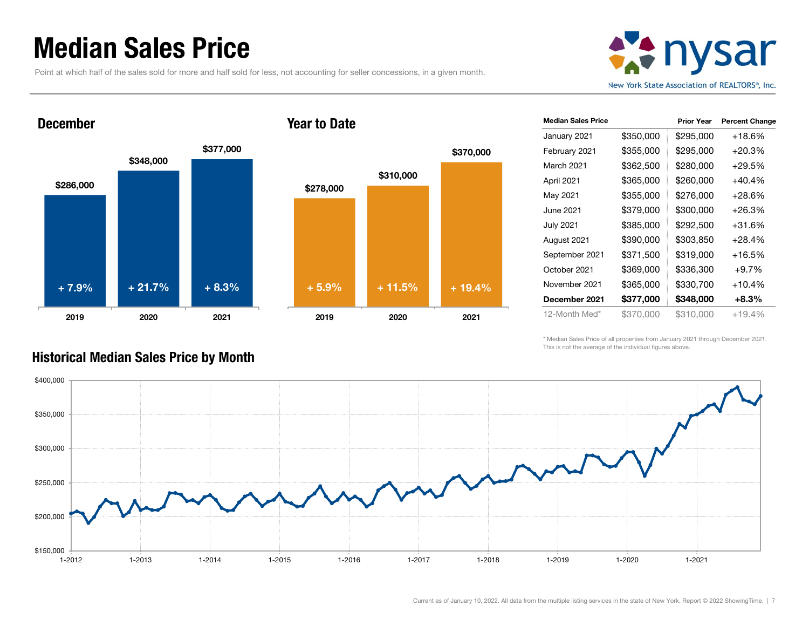### Median Sales Price

December

Point at which half of the sales sold for more and half sold for less, not accounting for seller concessions, in a given month.





#### Year to Date



| <b>Median Sales Price</b> |           | <b>Prior Year</b> | <b>Percent Change</b> |
|---------------------------|-----------|-------------------|-----------------------|
| January 2021              | \$350,000 | \$295,000         | +18.6%                |
| February 2021             | \$355,000 | \$295,000         | $+20.3%$              |
| March 2021                | \$362,500 | \$280,000         | $+29.5%$              |
| April 2021                | \$365,000 | \$260,000         | +40.4%                |
| May 2021                  | \$355,000 | \$276,000         | +28.6%                |
| June 2021                 | \$379,000 | \$300,000         | +26.3%                |
| <b>July 2021</b>          | \$385,000 | \$292,500         | +31.6%                |
| August 2021               | \$390,000 | \$303,850         | +28.4%                |
| September 2021            | \$371,500 | \$319,000         | +16.5%                |
| October 2021              | \$369,000 | \$336,300         | $+9.7%$               |
| November 2021             | \$365,000 | \$330,700         | $+10.4%$              |
| December 2021             | \$377,000 | \$348,000         | $+8.3%$               |
| 12-Month Med*             | \$370,000 | \$310,000         | $+19.4%$              |

\* Median Sales Price of all properties from January 2021 through December 2021. This is not the average of the individual figures above.



Historical Median Sales Price by Month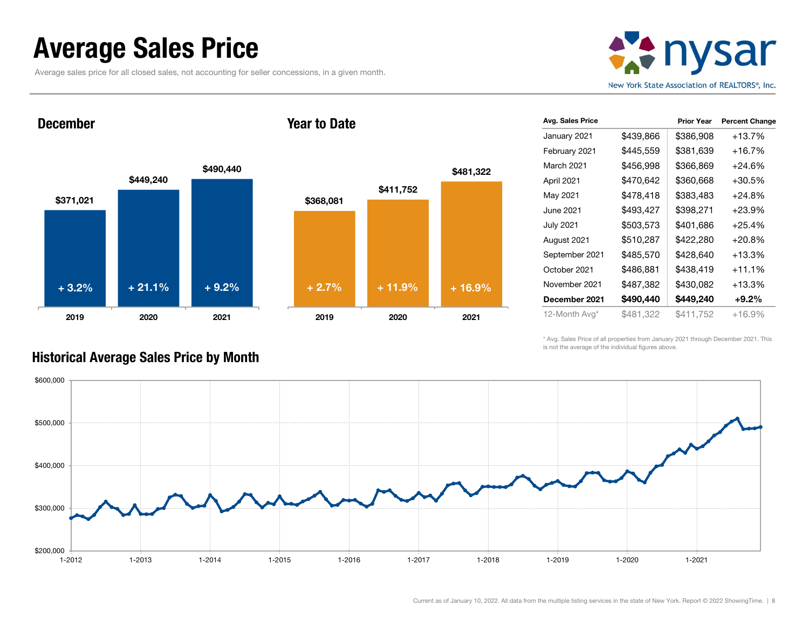### Average Sales Price

Historical Average Sales Price by Month

Average sales price for all closed sales, not accounting for seller concessions, in a given month.



December

#### Year to Date



| Avg. Sales Price |           | <b>Prior Year</b> | <b>Percent Change</b> |
|------------------|-----------|-------------------|-----------------------|
| January 2021     | \$439,866 | \$386,908         | $+13.7%$              |
| February 2021    | \$445,559 | \$381,639         | +16.7%                |
| March 2021       | \$456,998 | \$366,869         | $+24.6%$              |
| April 2021       | \$470,642 | \$360,668         | +30.5%                |
| May 2021         | \$478,418 | \$383,483         | +24.8%                |
| June 2021        | \$493,427 | \$398,271         | +23.9%                |
| <b>July 2021</b> | \$503,573 | \$401,686         | $+25.4%$              |
| August 2021      | \$510,287 | \$422,280         | $+20.8%$              |
| September 2021   | \$485,570 | \$428,640         | +13.3%                |
| October 2021     | \$486,881 | \$438,419         | $+11.1%$              |
| November 2021    | \$487,382 | \$430,082         | +13.3%                |
| December 2021    | \$490,440 | \$449.240         | $+9.2\%$              |
| 12-Month Avg*    | \$481,322 | \$411,752         | +16.9%                |

\* Avg. Sales Price of all properties from January 2021 through December 2021. This is not the average of the individual figures above.

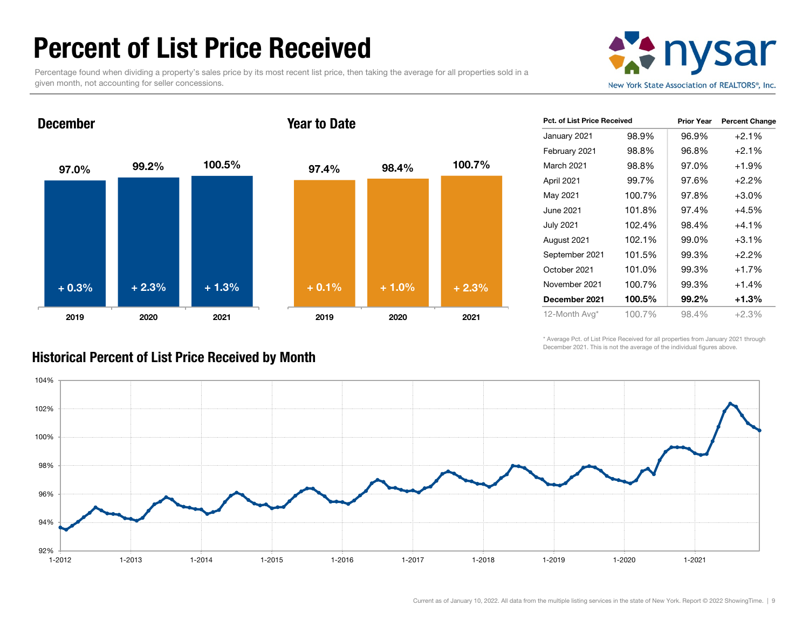### Percent of List Price Received

Percentage found when dividing a property's sales price by its most recent list price, then taking the average for all properties sold in a given month, not accounting for seller concessions.



#### 97.0% 99.2% 100.5% 2019 2020 2021 December97.4% 98.4% 100.7% 2019 2020 2021 Year to Date+ 0.3% $\%$  + 2.3% + 1.3% + 0.1% + 1.0% + 2.3%

| <b>Pct. of List Price Received</b> |        | <b>Prior Year</b> | <b>Percent Change</b> |
|------------------------------------|--------|-------------------|-----------------------|
| January 2021                       | 98.9%  | 96.9%             | $+2.1%$               |
| February 2021                      | 98.8%  | 96.8%             | $+2.1%$               |
| March 2021                         | 98.8%  | 97.0%             | $+1.9%$               |
| April 2021                         | 99.7%  | 97.6%             | $+2.2%$               |
| May 2021                           | 100.7% | 97.8%             | $+3.0%$               |
| June 2021                          | 101.8% | 97.4%             | $+4.5%$               |
| <b>July 2021</b>                   | 102.4% | 98.4%             | $+4.1%$               |
| August 2021                        | 102.1% | 99.0%             | $+3.1%$               |
| September 2021                     | 101.5% | 99.3%             | $+2.2\%$              |
| October 2021                       | 101.0% | 99.3%             | $+1.7%$               |
| November 2021                      | 100.7% | 99.3%             | $+1.4%$               |
| December 2021                      | 100.5% | 99.2%             | $+1.3%$               |
| 12-Month Avg*                      | 100.7% | 98.4%             | $+2.3%$               |

\* Average Pct. of List Price Received for all properties from January 2021 through December 2021. This is not the average of the individual figures above.



Historical Percent of List Price Received by Month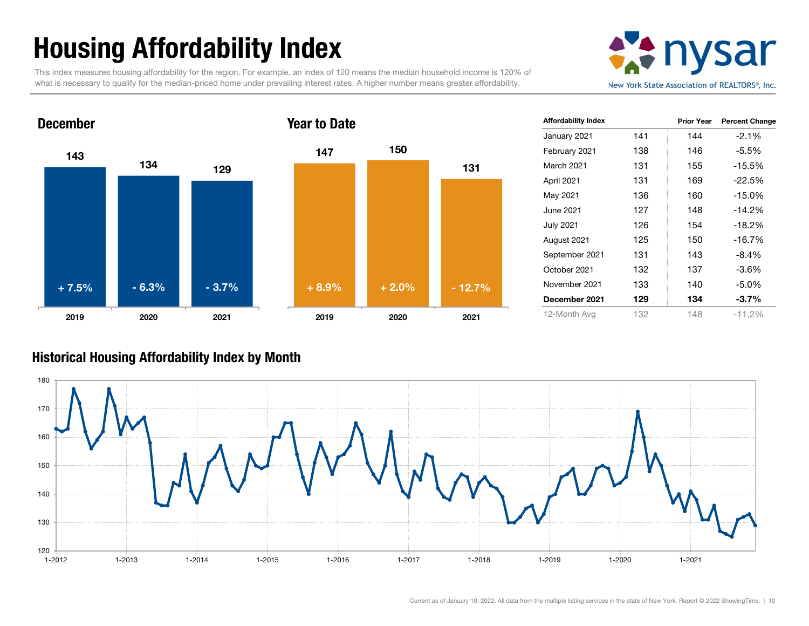# Housing Affordability Index

This index measures housing affordability for the region. For example, an index of 120 means the median household income is 120% of what is necessary to qualify for the median-priced home under prevailing interest rates. A higher number means greater affordability.





| <b>Affordability Index</b> |     | <b>Prior Year</b> | <b>Percent Change</b> |
|----------------------------|-----|-------------------|-----------------------|
| January 2021               | 141 | 144               | $-2.1%$               |
| February 2021              | 138 | 146               | -5.5%                 |
| <b>March 2021</b>          | 131 | 155               | $-15.5%$              |
| April 2021                 | 131 | 169               | $-22.5%$              |
| May 2021                   | 136 | 160               | $-15.0%$              |
| June 2021                  | 127 | 148               | $-14.2%$              |
| <b>July 2021</b>           | 126 | 154               | $-18.2%$              |
| August 2021                | 125 | 150               | $-16.7%$              |
| September 2021             | 131 | 143               | -8.4%                 |
| October 2021               | 132 | 137               | -3.6%                 |
| November 2021              | 133 | 140               | $-5.0\%$              |
| December 2021              | 129 | 134               | $-3.7%$               |
| 12-Month Avg               | 132 | 148               | $-11.2\%$             |

#### Historical Housing Affordability Index by Mont h

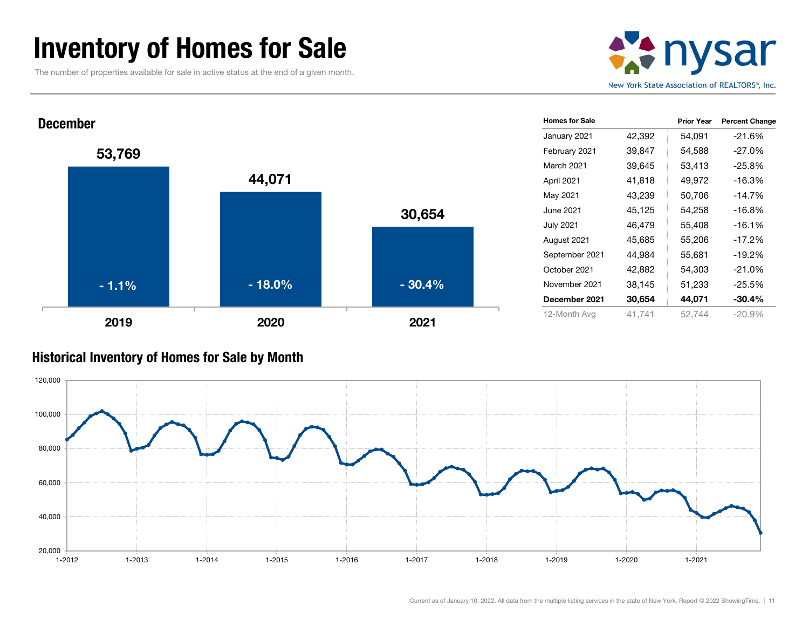### Inventory of Homes for Sale

The number of properties available for sale in active status at the end of a given month.





#### Historical Inventory of Homes for Sale by Month

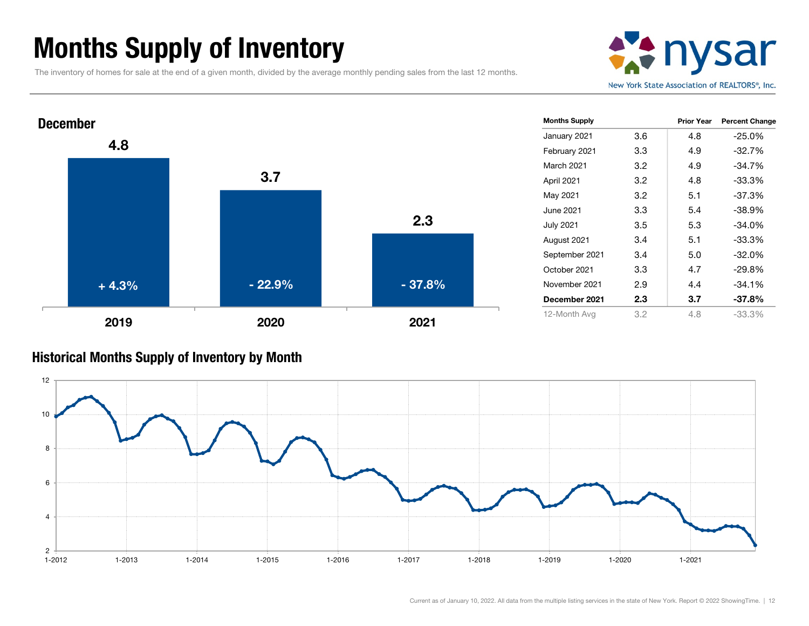### Months Supply of Inventory

The inventory of homes for sale at the end of a given month, divided by the average monthly pending sales from the last 12 months.





#### Historical Months Supply of Inventory by Month

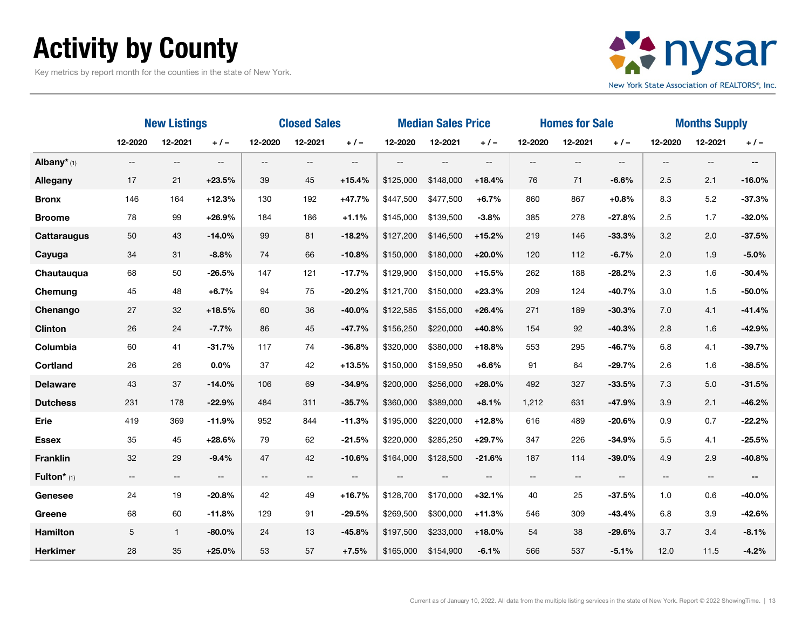# Activity by County

Key metrics by report month for the counties in the state of New York.



|                         | <b>New Listings</b>                                                                                               |                          |                          | <b>Closed Sales</b>      |                          |                                                     | <b>Median Sales Price</b> |                          | <b>Homes for Sale</b>                               |                          |                          | <b>Months Supply</b>     |                          |                          |          |
|-------------------------|-------------------------------------------------------------------------------------------------------------------|--------------------------|--------------------------|--------------------------|--------------------------|-----------------------------------------------------|---------------------------|--------------------------|-----------------------------------------------------|--------------------------|--------------------------|--------------------------|--------------------------|--------------------------|----------|
|                         | 12-2020                                                                                                           | 12-2021                  | $+/-$                    | 12-2020                  | 12-2021                  | $+/-$                                               | 12-2020                   | 12-2021                  | $+/-$                                               | 12-2020                  | 12-2021                  | $+1-$                    | 12-2020                  | 12-2021                  | $+/-$    |
| Albany <sup>*</sup> (1) | $-$                                                                                                               | $\qquad \qquad -$        | $\overline{\phantom{a}}$ | $\overline{\phantom{a}}$ | $\qquad \qquad -$        | $\overline{\phantom{a}}$                            | $-$                       | $-$                      | $\overline{\phantom{a}}$                            | $--$                     | $\overline{\phantom{a}}$ | $\overline{\phantom{a}}$ | $-$                      | $\overline{\phantom{a}}$ | $- -$    |
| <b>Allegany</b>         | 17                                                                                                                | 21                       | $+23.5%$                 | 39                       | 45                       | $+15.4%$                                            | \$125,000                 | \$148,000                | $+18.4%$                                            | 76                       | 71                       | $-6.6%$                  | 2.5                      | 2.1                      | $-16.0%$ |
| <b>Bronx</b>            | 146                                                                                                               | 164                      | $+12.3%$                 | 130                      | 192                      | $+47.7%$                                            | \$447,500                 | \$477,500                | $+6.7%$                                             | 860                      | 867                      | $+0.8%$                  | 8.3                      | 5.2                      | $-37.3%$ |
| <b>Broome</b>           | 78                                                                                                                | 99                       | $+26.9%$                 | 184                      | 186                      | $+1.1%$                                             | \$145,000                 | \$139,500                | $-3.8%$                                             | 385                      | 278                      | $-27.8%$                 | 2.5                      | 1.7                      | $-32.0%$ |
| <b>Cattaraugus</b>      | $50\,$                                                                                                            | 43                       | $-14.0%$                 | 99                       | 81                       | $-18.2%$                                            | \$127,200                 | \$146,500                | $+15.2%$                                            | 219                      | 146                      | $-33.3%$                 | 3.2                      | 2.0                      | $-37.5%$ |
| Cayuga                  | 34                                                                                                                | 31                       | $-8.8%$                  | 74                       | 66                       | $-10.8%$                                            | \$150,000                 | \$180,000                | $+20.0%$                                            | 120                      | 112                      | $-6.7%$                  | 2.0                      | 1.9                      | $-5.0%$  |
| Chautauqua              | 68                                                                                                                | 50                       | $-26.5%$                 | 147                      | 121                      | $-17.7%$                                            | \$129,900                 | \$150,000                | $+15.5%$                                            | 262                      | 188                      | $-28.2%$                 | 2.3                      | 1.6                      | $-30.4%$ |
| Chemung                 | 45                                                                                                                | 48                       | $+6.7%$                  | 94                       | 75                       | $-20.2%$                                            | \$121,700                 | \$150,000                | $+23.3%$                                            | 209                      | 124                      | $-40.7%$                 | 3.0                      | 1.5                      | $-50.0%$ |
| Chenango                | 27                                                                                                                | 32                       | $+18.5%$                 | 60                       | 36                       | $-40.0%$                                            | \$122,585                 | \$155,000                | $+26.4%$                                            | 271                      | 189                      | $-30.3%$                 | 7.0                      | 4.1                      | $-41.4%$ |
| <b>Clinton</b>          | 26                                                                                                                | 24                       | $-7.7%$                  | 86                       | 45                       | $-47.7%$                                            | \$156,250                 | \$220,000                | $+40.8%$                                            | 154                      | 92                       | $-40.3%$                 | 2.8                      | 1.6                      | $-42.9%$ |
| Columbia                | 60                                                                                                                | 41                       | $-31.7%$                 | 117                      | 74                       | $-36.8%$                                            | \$320,000                 | \$380,000                | $+18.8%$                                            | 553                      | 295                      | $-46.7%$                 | 6.8                      | 4.1                      | $-39.7%$ |
| <b>Cortland</b>         | 26                                                                                                                | 26                       | $0.0\%$                  | 37                       | 42                       | $+13.5%$                                            | \$150,000                 | \$159,950                | $+6.6%$                                             | 91                       | 64                       | $-29.7%$                 | 2.6                      | 1.6                      | $-38.5%$ |
| <b>Delaware</b>         | 43                                                                                                                | 37                       | $-14.0%$                 | 106                      | 69                       | $-34.9%$                                            | \$200,000                 | \$256,000                | $+28.0%$                                            | 492                      | 327                      | $-33.5%$                 | 7.3                      | 5.0                      | $-31.5%$ |
| <b>Dutchess</b>         | 231                                                                                                               | 178                      | $-22.9%$                 | 484                      | 311                      | $-35.7%$                                            | \$360,000                 | \$389,000                | $+8.1%$                                             | 1,212                    | 631                      | $-47.9%$                 | 3.9                      | 2.1                      | $-46.2%$ |
| Erie                    | 419                                                                                                               | 369                      | $-11.9%$                 | 952                      | 844                      | $-11.3%$                                            | \$195,000                 | \$220,000                | $+12.8%$                                            | 616                      | 489                      | $-20.6%$                 | 0.9                      | 0.7                      | $-22.2%$ |
| <b>Essex</b>            | 35                                                                                                                | 45                       | $+28.6%$                 | 79                       | 62                       | $-21.5%$                                            | \$220,000                 | \$285,250                | $+29.7%$                                            | 347                      | 226                      | $-34.9%$                 | 5.5                      | 4.1                      | $-25.5%$ |
| <b>Franklin</b>         | 32                                                                                                                | 29                       | $-9.4%$                  | 47                       | 42                       | $-10.6%$                                            | \$164,000                 | \$128,500                | $-21.6%$                                            | 187                      | 114                      | $-39.0%$                 | 4.9                      | 2.9                      | $-40.8%$ |
| Fulton* (1)             | $\hspace{0.05cm} \hspace{0.02cm} \hspace{0.02cm} \hspace{0.02cm} \hspace{0.02cm} \hspace{0.02cm} \hspace{0.02cm}$ | $\hspace{0.05cm} \ldots$ | $\overline{\phantom{m}}$ | $\overline{\phantom{a}}$ | $\overline{\phantom{m}}$ | $\hspace{0.05cm} -\hspace{0.05cm} -\hspace{0.05cm}$ | $-$                       | $\overline{\phantom{m}}$ | $\hspace{0.05cm} -\hspace{0.05cm} -\hspace{0.05cm}$ | $\overline{\phantom{a}}$ | $\sim$ $\sim$            | $\overline{\phantom{a}}$ | $\overline{\phantom{m}}$ | $\overline{\phantom{a}}$ |          |
| <b>Genesee</b>          | 24                                                                                                                | 19                       | $-20.8%$                 | 42                       | 49                       | $+16.7%$                                            | \$128,700                 | \$170,000                | $+32.1%$                                            | 40                       | 25                       | $-37.5%$                 | 1.0                      | 0.6                      | $-40.0%$ |
| Greene                  | 68                                                                                                                | 60                       | $-11.8%$                 | 129                      | 91                       | $-29.5%$                                            | \$269,500                 | \$300,000                | $+11.3%$                                            | 546                      | 309                      | $-43.4%$                 | 6.8                      | 3.9                      | $-42.6%$ |
| <b>Hamilton</b>         | $\mathbf 5$                                                                                                       | $\mathbf{1}$             | $-80.0\%$                | 24                       | 13                       | $-45.8%$                                            | \$197,500                 | \$233,000                | $+18.0%$                                            | 54                       | 38                       | $-29.6%$                 | 3.7                      | 3.4                      | $-8.1%$  |
| <b>Herkimer</b>         | 28                                                                                                                | 35                       | $+25.0%$                 | 53                       | 57                       | $+7.5%$                                             | \$165,000                 | \$154,900                | $-6.1%$                                             | 566                      | 537                      | $-5.1%$                  | 12.0                     | 11.5                     | $-4.2%$  |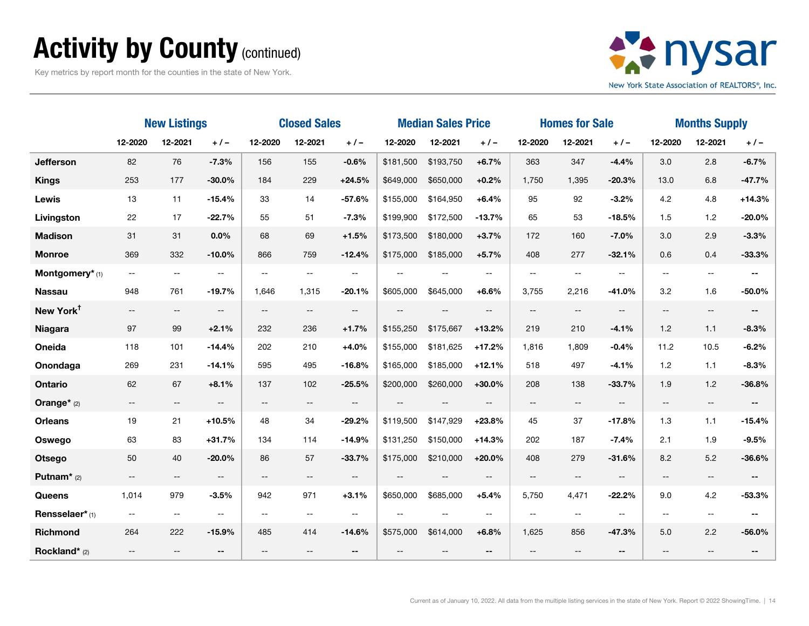### Activity by County (continued)

Key metrics by report month for the counties in the state of New York.



|                       | <b>New Listings</b>         |                          |                          | <b>Closed Sales</b>      |                |                          | <b>Median Sales Price</b> |                          |                   | <b>Homes for Sale</b>    |                          |                          | <b>Months Supply</b>     |                          |                          |
|-----------------------|-----------------------------|--------------------------|--------------------------|--------------------------|----------------|--------------------------|---------------------------|--------------------------|-------------------|--------------------------|--------------------------|--------------------------|--------------------------|--------------------------|--------------------------|
|                       | 12-2020                     | 12-2021                  | $+ 1 -$                  | 12-2020                  | 12-2021        | $+/-$                    | 12-2020                   | 12-2021                  | $+ 1 -$           | 12-2020                  | 12-2021                  | $+/-$                    | 12-2020                  | 12-2021                  | $+/-$                    |
| <b>Jefferson</b>      | 82                          | 76                       | $-7.3%$                  | 156                      | 155            | $-0.6%$                  | \$181,500                 | \$193,750                | $+6.7%$           | 363                      | 347                      | $-4.4%$                  | 3.0                      | 2.8                      | $-6.7%$                  |
| <b>Kings</b>          | 253                         | 177                      | $-30.0%$                 | 184                      | 229            | $+24.5%$                 | \$649,000                 | \$650,000                | $+0.2%$           | 1,750                    | 1,395                    | $-20.3%$                 | 13.0                     | 6.8                      | $-47.7%$                 |
| Lewis                 | 13                          | 11                       | $-15.4%$                 | 33                       | 14             | $-57.6%$                 | \$155,000                 | \$164,950                | $+6.4%$           | 95                       | 92                       | $-3.2%$                  | 4.2                      | 4.8                      | $+14.3%$                 |
| Livingston            | 22                          | 17                       | $-22.7%$                 | 55                       | 51             | $-7.3%$                  | \$199,900                 | \$172,500                | $-13.7%$          | 65                       | 53                       | $-18.5%$                 | 1.5                      | 1.2                      | $-20.0%$                 |
| <b>Madison</b>        | 31                          | 31                       | $0.0\%$                  | 68                       | 69             | $+1.5%$                  | \$173,500                 | \$180,000                | $+3.7%$           | 172                      | 160                      | $-7.0%$                  | 3.0                      | 2.9                      | $-3.3%$                  |
| <b>Monroe</b>         | 369                         | 332                      | $-10.0%$                 | 866                      | 759            | $-12.4%$                 | \$175,000                 | \$185,000                | $+5.7%$           | 408                      | 277                      | $-32.1%$                 | 0.6                      | 0.4                      | $-33.3%$                 |
| Montgomery* (1)       | $\mathcal{L}_{\mathcal{F}}$ | $\overline{\phantom{a}}$ | $\mathbf{u}$             | $-$                      | --             | $-$                      | $\mathbf{u}$              | $\mathbf{u}$             | $\overline{a}$    | $\overline{a}$           | --                       | $\overline{\phantom{a}}$ | $- -$                    | $- -$                    | $\overline{\phantom{a}}$ |
| <b>Nassau</b>         | 948                         | 761                      | $-19.7%$                 | 1,646                    | 1,315          | $-20.1%$                 | \$605,000                 | \$645,000                | $+6.6%$           | 3,755                    | 2,216                    | $-41.0%$                 | 3.2                      | 1.6                      | $-50.0%$                 |
| New York <sup>t</sup> | $- -$                       | $\overline{\phantom{a}}$ | $\overline{\phantom{a}}$ | $\overline{\phantom{a}}$ | $--$           | $- -$                    | $\overline{\phantom{a}}$  | $\overline{\phantom{m}}$ | $\qquad \qquad -$ | $\overline{\phantom{a}}$ | $- -$                    | $- -$                    | $\qquad \qquad -$        | $\overline{\phantom{a}}$ | $--$                     |
| <b>Niagara</b>        | 97                          | 99                       | $+2.1%$                  | 232                      | 236            | $+1.7%$                  | \$155,250                 | \$175,667                | $+13.2%$          | 219                      | 210                      | $-4.1%$                  | 1.2                      | 1.1                      | $-8.3%$                  |
| Oneida                | 118                         | 101                      | $-14.4%$                 | 202                      | 210            | $+4.0%$                  | \$155,000                 | \$181,625                | $+17.2%$          | 1,816                    | 1,809                    | $-0.4%$                  | 11.2                     | 10.5                     | $-6.2%$                  |
| Onondaga              | 269                         | 231                      | $-14.1%$                 | 595                      | 495            | $-16.8%$                 | \$165,000                 | \$185,000                | $+12.1%$          | 518                      | 497                      | $-4.1%$                  | 1.2                      | 1.1                      | $-8.3%$                  |
| <b>Ontario</b>        | 62                          | 67                       | $+8.1%$                  | 137                      | 102            | $-25.5%$                 | \$200,000                 | \$260,000                | $+30.0%$          | 208                      | 138                      | $-33.7%$                 | 1.9                      | 1.2                      | $-36.8%$                 |
| Orange* (2)           | $\overline{\phantom{m}}$    | $---$                    | $\overline{\phantom{a}}$ | $\overline{\phantom{a}}$ | $- -$          | $- -$                    | $\overline{\phantom{a}}$  | $\qquad \qquad -$        | $-$               | $\overline{\phantom{a}}$ | $\overline{\phantom{a}}$ | $\overline{\phantom{a}}$ | $\overline{\phantom{a}}$ | $\overline{\phantom{a}}$ | $\overline{\phantom{a}}$ |
| <b>Orleans</b>        | 19                          | 21                       | $+10.5%$                 | 48                       | 34             | $-29.2%$                 | \$119,500                 | \$147,929                | $+23.8%$          | 45                       | 37                       | $-17.8%$                 | 1.3                      | 1.1                      | $-15.4%$                 |
| Oswego                | 63                          | 83                       | $+31.7%$                 | 134                      | 114            | $-14.9%$                 | \$131,250                 | \$150,000                | $+14.3%$          | 202                      | 187                      | $-7.4%$                  | 2.1                      | 1.9                      | $-9.5%$                  |
| <b>Otsego</b>         | 50                          | 40                       | $-20.0%$                 | 86                       | 57             | $-33.7%$                 | \$175,000                 | \$210,000                | $+20.0%$          | 408                      | 279                      | $-31.6%$                 | 8.2                      | 5.2                      | $-36.6%$                 |
| Putnam $*$ (2)        | $-\,-$                      | $\overline{\phantom{a}}$ | $\overline{\phantom{a}}$ | $\overline{\phantom{a}}$ | $- -$          | $\overline{\phantom{a}}$ | $\sim$                    | $\sim$                   | --                | $\overline{\phantom{a}}$ | $\overline{\phantom{a}}$ | $\overline{\phantom{a}}$ | $- -$                    | $- -$                    |                          |
| Queens                | 1,014                       | 979                      | $-3.5%$                  | 942                      | 971            | $+3.1%$                  | \$650,000                 | \$685,000                | $+5.4%$           | 5,750                    | 4,471                    | $-22.2%$                 | 9.0                      | 4.2                      | $-53.3%$                 |
| Rensselaer*(1)        | $\overline{\phantom{m}}$    | $\overline{\phantom{a}}$ | $\mathbf{u}$             | $\sim$ $\sim$            | $\overline{a}$ | $\mathbf{u}$             |                           |                          |                   | $-$                      | $\overline{\phantom{a}}$ | $\overline{a}$           |                          | $\overline{\phantom{a}}$ |                          |
| Richmond              | 264                         | 222                      | $-15.9%$                 | 485                      | 414            | $-14.6%$                 | \$575,000                 | \$614,000                | $+6.8%$           | 1,625                    | 856                      | $-47.3%$                 | 5.0                      | 2.2                      | $-56.0%$                 |
| Rockland* (2)         | $-$                         |                          |                          | --                       | --             | $- -$                    |                           |                          | $-$               | $-$                      |                          | $- -$                    |                          | --                       |                          |